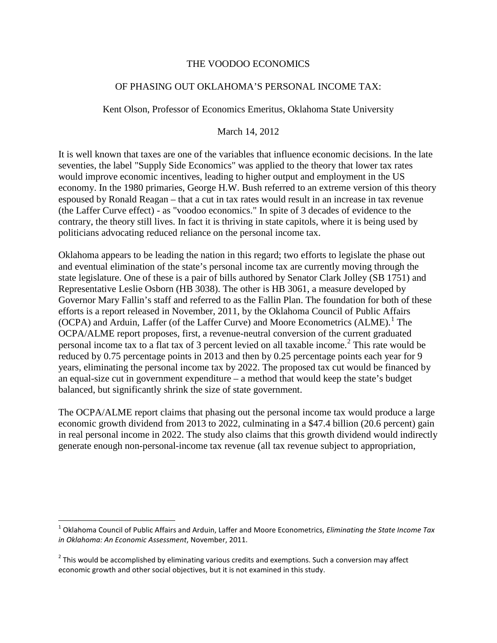#### THE VOODOO ECONOMICS

### OF PHASING OUT OKLAHOMA'S PERSONAL INCOME TAX:

Kent Olson, Professor of Economics Emeritus, Oklahoma State University

#### March 14, 2012

It is well known that taxes are one of the variables that influence economic decisions. In the late seventies, the label "Supply Side Economics" was applied to the theory that lower tax rates would improve economic incentives, leading to higher output and employment in the US economy. In the 1980 primaries, George H.W. Bush referred to an extreme version of this theory espoused by Ronald Reagan – that a cut in tax rates would result in an increase in tax revenue (the Laffer Curve effect) - as "voodoo economics." In spite of 3 decades of evidence to the contrary, the theory still lives. In fact it is thriving in state capitols, where it is being used by politicians advocating reduced reliance on the personal income tax.

Oklahoma appears to be leading the nation in this regard; two efforts to legislate the phase out and eventual elimination of the state's personal income tax are currently moving through the state legislature. One of these is a pair of bills authored by Senator Clark Jolley (SB 1751) and Representative Leslie Osborn (HB 3038). The other is HB 3061, a measure developed by Governor Mary Fallin's staff and referred to as the Fallin Plan. The foundation for both of these efforts is a report released in November, 2011, by the Oklahoma Council of Public Affairs (OCPA) and Arduin, Laffer (of the Laffer Curve) and Moore Econometrics (ALME). [1](#page-0-0) The OCPA/ALME report proposes, first, a revenue-neutral conversion of the current graduated personal income tax to a flat tax of 3 percent levied on all taxable income.[2](#page-0-1) This rate would be reduced by 0.75 percentage points in 2013 and then by 0.25 percentage points each year for 9 years, eliminating the personal income tax by 2022. The proposed tax cut would be financed by an equal-size cut in government expenditure – a method that would keep the state's budget balanced, but significantly shrink the size of state government.

The OCPA/ALME report claims that phasing out the personal income tax would produce a large economic growth dividend from 2013 to 2022, culminating in a \$47.4 billion (20.6 percent) gain in real personal income in 2022. The study also claims that this growth dividend would indirectly generate enough non-personal-income tax revenue (all tax revenue subject to appropriation,

<span id="page-0-0"></span> <sup>1</sup> Oklahoma Council of Public Affairs and Arduin, Laffer and Moore Econometrics, *Eliminating the State Income Tax in Oklahoma: An Economic Assessment*, November, 2011.

<span id="page-0-2"></span><span id="page-0-1"></span> $2$  This would be accomplished by eliminating various credits and exemptions. Such a conversion may affect economic growth and other social objectives, but it is not examined in this study.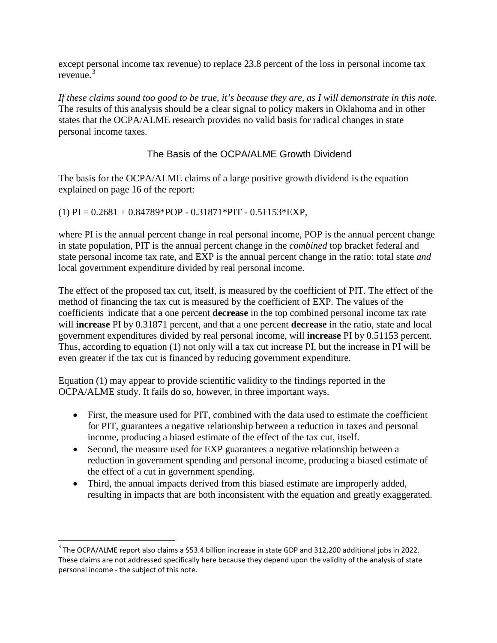except personal income tax revenue) to replace 23.8 percent of the loss in personal income tax revenue. $3$ 

*If these claims sound too good to be true, it's because they are, as I will demonstrate in this note.* The results of this analysis should be a clear signal to policy makers in Oklahoma and in other states that the OCPA/ALME research provides no valid basis for radical changes in state personal income taxes.

# The Basis of the OCPA/ALME Growth Dividend

The basis for the OCPA/ALME claims of a large positive growth dividend is the equation explained on page 16 of the report:

## $(1)$  PI = 0.2681 + 0.84789\*POP - 0.31871\*PIT - 0.51153\*EXP,

where PI is the annual percent change in real personal income, POP is the annual percent change in state population, PIT is the annual percent change in the *combined* top bracket federal and state personal income tax rate, and EXP is the annual percent change in the ratio: total state *and* local government expenditure divided by real personal income.

The effect of the proposed tax cut, itself, is measured by the coefficient of PIT. The effect of the method of financing the tax cut is measured by the coefficient of EXP. The values of the coefficients indicate that a one percent **decrease** in the top combined personal income tax rate will **increase** PI by 0.31871 percent, and that a one percent **decrease** in the ratio, state and local government expenditures divided by real personal income, will **increase** PI by 0.51153 percent. Thus, according to equation (1) not only will a tax cut increase PI, but the increase in PI will be even greater if the tax cut is financed by reducing government expenditure.

Equation (1) may appear to provide scientific validity to the findings reported in the OCPA/ALME study. It fails do so, however, in three important ways.

- First, the measure used for PIT, combined with the data used to estimate the coefficient for PIT, guarantees a negative relationship between a reduction in taxes and personal income, producing a biased estimate of the effect of the tax cut, itself.
- Second, the measure used for EXP guarantees a negative relationship between a reduction in government spending and personal income, producing a biased estimate of the effect of a cut in government spending.
- <span id="page-1-0"></span>• Third, the annual impacts derived from this biased estimate are improperly added, resulting in impacts that are both inconsistent with the equation and greatly exaggerated.

<sup>&</sup>lt;sup>3</sup> The OCPA/ALME report also claims a \$53.4 billion increase in state GDP and 312,200 additional jobs in 2022. These claims are not addressed specifically here because they depend upon the validity of the analysis of state personal income - the subject of this note.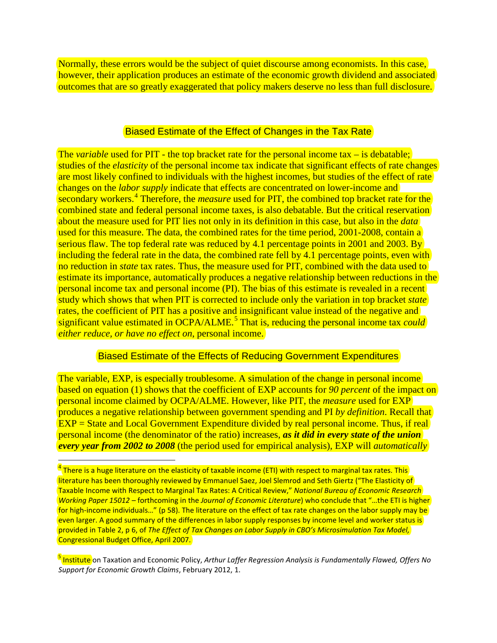Normally, these errors would be the subject of quiet discourse among economists. In this case, however, their application produces an estimate of the economic growth dividend and associated outcomes that are so greatly exaggerated that policy makers deserve no less than full disclosure.

### Biased Estimate of the Effect of Changes in the Tax Rate

The *variable* used for PIT - the top bracket rate for the personal income tax – is debatable; studies of the *elasticity* of the personal income tax indicate that significant effects of rate changes are most likely confined to individuals with the highest incomes, but studies of the effect of rate changes on the *labor supply* indicate that effects are concentrated on lower-income and secondary workers.<sup>[4](#page-1-0)</sup> Therefore, the *measure* used for PIT, the combined top bracket rate for the combined state and federal personal income taxes, is also debatable. But the critical reservation about the measure used for PIT lies not only in its definition in this case, but also in the *data* used for this measure. The data, the combined rates for the time period, 2001-2008, contain a serious flaw. The top federal rate was reduced by 4.1 percentage points in 2001 and 2003. By including the federal rate in the data, the combined rate fell by 4.1 percentage points, even with no reduction in *state* tax rates. Thus, the measure used for PIT, combined with the data used to estimate its importance, automatically produces a negative relationship between reductions in the personal income tax and personal income (PI). The bias of this estimate is revealed in a recent study which shows that when PIT is corrected to include only the variation in top bracket *state*  rates, the coefficient of PIT has a positive and insignificant value instead of the negative and significant value estimated in OCPA/ALME.<sup>[5](#page-2-0)</sup> That is, reducing the personal income tax *could either reduce, or have no effect on*, personal income.

## Biased Estimate of the Effects of Reducing Government Expenditures

The variable, EXP, is especially troublesome. A simulation of the change in personal income based on equation (1) shows that the coefficient of EXP accounts for *90 percent* of the impact on personal income claimed by OCPA/ALME. However, like PIT, the *measure* used for EXP produces a negative relationship between government spending and PI *by definition*. Recall that EXP = State and Local Government Expenditure divided by real personal income. Thus, if real personal income (the denominator of the ratio) increases, *as it did in every state of the union every year from 2002 to 2008* (the period used for empirical analysis), EXP will *automatically*

<span id="page-2-1"></span> $4\overline{ }$  There is a huge literature on the elasticity of taxable income (ETI) with respect to marginal tax rates. This literature has been thoroughly reviewed by Emmanuel Saez, Joel Slemrod and Seth Giertz ("The Elasticity of Taxable Income with Respect to Marginal Tax Rates: A Critical Review," *National Bureau of Economic Research Working Paper 15012* – forthcoming in the *Journal of Economic Literature*) who conclude that "…the ETI is higher for high-income individuals…" (p 58). The literature on the effect of tax rate changes on the labor supply may be even larger. A good summary of the differences in labor supply responses by income level and worker status is provided in Table 2, p 6, of *The Effect of Tax Changes on Labor Supply in CBO's Microsimulation Tax Model,*  Congressional Budget Office, April 2007.

<span id="page-2-0"></span><sup>5</sup> Institute on Taxation and Economic Policy, *Arthur Laffer Regression Analysis is Fundamentally Flawed, Offers No Support for Economic Growth Claims*, February 2012, 1.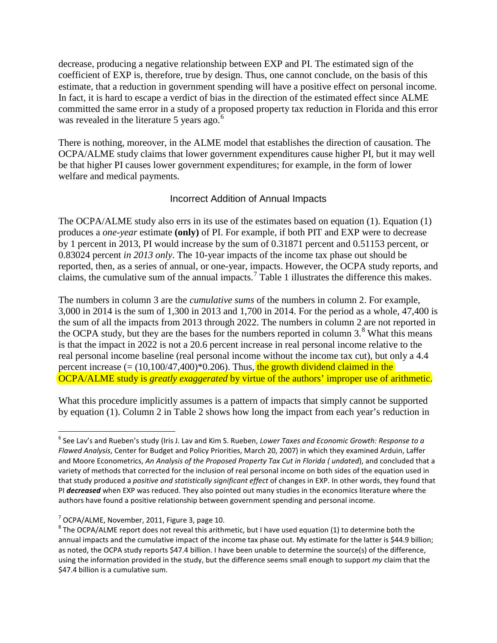decrease, producing a negative relationship between EXP and PI. The estimated sign of the coefficient of EXP is, therefore, true by design. Thus, one cannot conclude, on the basis of this estimate, that a reduction in government spending will have a positive effect on personal income. In fact, it is hard to escape a verdict of bias in the direction of the estimated effect since ALME committed the same error in a study of a proposed property tax reduction in Florida and this error was revealed in the literature 5 years ago.<sup>[6](#page-2-1)</sup>

There is nothing, moreover, in the ALME model that establishes the direction of causation. The OCPA/ALME study claims that lower government expenditures cause higher PI, but it may well be that higher PI causes lower government expenditures; for example, in the form of lower welfare and medical payments.

## Incorrect Addition of Annual Impacts

The OCPA/ALME study also errs in its use of the estimates based on equation (1). Equation (1) produces a *one-year* estimate **(only)** of PI. For example, if both PIT and EXP were to decrease by 1 percent in 2013, PI would increase by the sum of 0.31871 percent and 0.51153 percent, or 0.83024 percent *in 2013 only*. The 10-year impacts of the income tax phase out should be reported, then, as a series of annual, or one-year, impacts. However, the OCPA study reports, and claims, the cumulative sum of the annual impacts.[7](#page-3-0) Table 1 illustrates the difference this makes.

The numbers in column 3 are the *cumulative sums* of the numbers in column 2. For example, 3,000 in 2014 is the sum of 1,300 in 2013 and 1,700 in 2014. For the period as a whole, 47,400 is the sum of all the impacts from 2013 through 2022. The numbers in column 2 are not reported in the OCPA study, but they are the bases for the numbers reported in column  $3<sup>8</sup>$  $3<sup>8</sup>$  $3<sup>8</sup>$  What this means is that the impact in 2022 is not a 20.6 percent increase in real personal income relative to the real personal income baseline (real personal income without the income tax cut), but only a 4.4 percent increase  $(=(10,100/47,400)*0.206)$ . Thus, the growth dividend claimed in the OCPA/ALME study is *greatly exaggerated* by virtue of the authors' improper use of arithmetic.

What this procedure implicitly assumes is a pattern of impacts that simply cannot be supported by equation (1). Column 2 in Table 2 shows how long the impact from each year's reduction in

 <sup>6</sup> See Lav's and Rueben's study (Iris J. Lav and Kim S. Rueben, *Lower Taxes and Economic Growth: Response to a Flawed Analysis*, Center for Budget and Policy Priorities, March 20, 2007) in which they examined Arduin, Laffer and Moore Econometrics, *An Analysis of the Proposed Property Tax Cut in Florida ( undated*), and concluded that a variety of methods that corrected for the inclusion of real personal income on both sides of the equation used in that study produced a *positive and statistically significant effect* of changes in EXP. In other words, they found that PI *decreased* when EXP was reduced. They also pointed out many studies in the economics literature where the authors have found a positive relationship between government spending and personal income.

<span id="page-3-1"></span><span id="page-3-0"></span><sup>&</sup>lt;sup>7</sup> OCPA/ALME, November, 2011, Figure 3, page 10.<br><sup>8</sup> The OCPA/ALME report does not reveal this arithmetic, but I have used equation (1) to determine both the annual impacts and the cumulative impact of the income tax phase out. My estimate for the latter is \$44.9 billion; as noted, the OCPA study reports \$47.4 billion. I have been unable to determine the source(s) of the difference, using the information provided in the study, but the difference seems small enough to support *my* claim that the \$47.4 billion is a cumulative sum.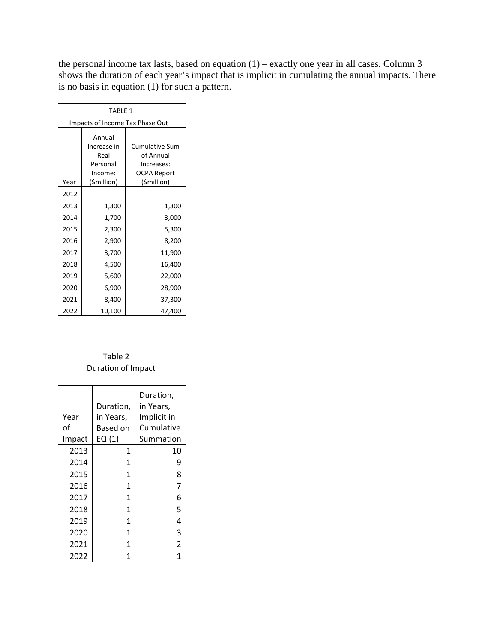the personal income tax lasts, based on equation (1) – exactly one year in all cases. Column 3 shows the duration of each year's impact that is implicit in cumulating the annual impacts. There is no basis in equation (1) for such a pattern.

| TARIF <sub>1</sub>              |                                                      |                                                                 |  |  |  |  |  |
|---------------------------------|------------------------------------------------------|-----------------------------------------------------------------|--|--|--|--|--|
| Impacts of Income Tax Phase Out |                                                      |                                                                 |  |  |  |  |  |
|                                 | Annual<br>Increase in<br>Real<br>Personal<br>Income: | <b>Cumulative Sum</b><br>of Annual<br>Increases:<br>OCPA Report |  |  |  |  |  |
| Year                            | (\$million)                                          | (\$million)                                                     |  |  |  |  |  |
| 2012                            |                                                      |                                                                 |  |  |  |  |  |
| 2013                            | 1,300                                                | 1,300                                                           |  |  |  |  |  |
| 2014                            | 1,700                                                | 3,000                                                           |  |  |  |  |  |
| 2015                            | 2,300                                                | 5,300                                                           |  |  |  |  |  |
| 2016                            | 2,900                                                | 8,200                                                           |  |  |  |  |  |
| 2017                            | 3,700                                                | 11,900                                                          |  |  |  |  |  |
| 2018                            | 4,500                                                | 16,400                                                          |  |  |  |  |  |
| 2019                            | 5,600                                                | 22,000                                                          |  |  |  |  |  |
| 2020                            | 6,900                                                | 28,900                                                          |  |  |  |  |  |
| 2021                            | 8,400                                                | 37,300                                                          |  |  |  |  |  |
| 2022                            | 10,100                                               | 47,400                                                          |  |  |  |  |  |

| Table 2<br>Duration of Impact |                                              |                                                                  |  |  |  |  |  |
|-------------------------------|----------------------------------------------|------------------------------------------------------------------|--|--|--|--|--|
| Year<br>of<br>Impact          | Duration,<br>in Years,<br>Based on<br>EQ (1) | Duration,<br>in Years,<br>Implicit in<br>Cumulative<br>Summation |  |  |  |  |  |
| 2013                          | 1                                            | 10                                                               |  |  |  |  |  |
| 2014                          | $\mathbf{1}$                                 | 9                                                                |  |  |  |  |  |
| 2015                          | 1                                            | 8                                                                |  |  |  |  |  |
| 2016                          | 1                                            | $\overline{7}$                                                   |  |  |  |  |  |
| 2017                          | 1                                            | 6                                                                |  |  |  |  |  |
| 2018                          | $\mathbf{1}$                                 | 5                                                                |  |  |  |  |  |
| 2019                          | $\mathbf{1}$                                 | 4                                                                |  |  |  |  |  |
| 2020                          | 1                                            | 3                                                                |  |  |  |  |  |
| 2021                          | 1                                            | $\overline{2}$                                                   |  |  |  |  |  |
| 2022                          | 1                                            | 1                                                                |  |  |  |  |  |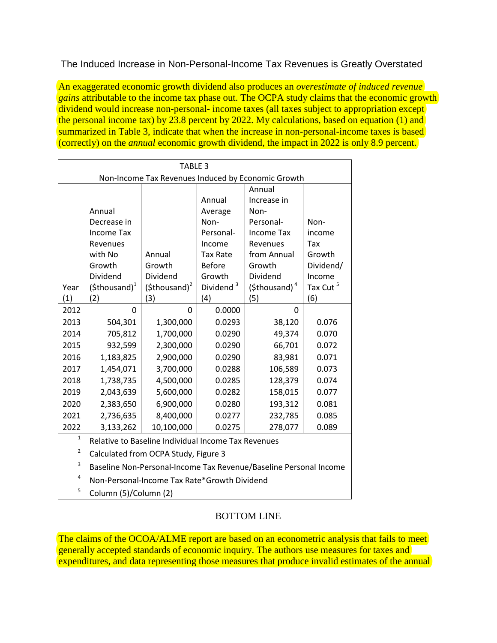# The Induced Increase in Non-Personal-Income Tax Revenues is Greatly Overstated

An exaggerated economic growth dividend also produces an *overestimate of induced revenue gains* attributable to the income tax phase out. The OCPA study claims that the economic growth dividend would increase non-personal- income taxes (all taxes subject to appropriation except the personal income tax) by  $2\overline{3.8}$  percent by 2022. My calculations, based on equation (1) and summarized in Table 3, indicate that when the increase in non-personal-income taxes is based (correctly) on the *annual* economic growth dividend, the impact in 2022 is only 8.9 percent.

| TABLE 3                                            |                        |                        |                       |                           |                      |  |  |  |
|----------------------------------------------------|------------------------|------------------------|-----------------------|---------------------------|----------------------|--|--|--|
| Non-Income Tax Revenues Induced by Economic Growth |                        |                        |                       |                           |                      |  |  |  |
|                                                    |                        |                        |                       | Annual                    |                      |  |  |  |
|                                                    |                        |                        | Annual                | Increase in               |                      |  |  |  |
| Annual                                             |                        |                        | Average               | Non-                      |                      |  |  |  |
| Decrease in                                        |                        |                        | Non-                  | Personal-                 | Non-                 |  |  |  |
| Income Tax                                         |                        |                        | Personal-             | Income Tax                | income               |  |  |  |
|                                                    | Revenues               |                        | Income                | Revenues                  | Tax                  |  |  |  |
| with No                                            |                        | Annual                 | <b>Tax Rate</b>       | from Annual               | Growth               |  |  |  |
| Growth                                             |                        | Growth                 | <b>Before</b>         | Growth                    | Dividend/            |  |  |  |
|                                                    | Dividend               | Dividend               | Growth                | Dividend                  | Income               |  |  |  |
| Year                                               | $(\text{Sthousand})^1$ | $(\text{Sthousand})^2$ | Dividend <sup>3</sup> | (\$thousand) <sup>4</sup> | Tax Cut <sup>5</sup> |  |  |  |
| (1)                                                | (2)                    | (3)                    | (4)                   | (5)                       | (6)                  |  |  |  |
| 2012                                               | $\Omega$               | $\Omega$               | 0.0000                | 0                         |                      |  |  |  |
| 2013                                               | 504,301                | 1,300,000              | 0.0293                | 38,120                    | 0.076                |  |  |  |
| 2014                                               | 705,812                | 1,700,000              | 0.0290                | 49,374                    | 0.070                |  |  |  |
| 2015                                               | 932,599                | 2,300,000              | 0.0290                | 66,701                    | 0.072                |  |  |  |
| 2016                                               | 1,183,825              | 2,900,000              | 0.0290                | 83,981                    | 0.071                |  |  |  |
| 2017                                               | 1,454,071              | 3,700,000              | 0.0288                | 106,589                   | 0.073                |  |  |  |
| 2018                                               | 1,738,735              | 4,500,000              | 0.0285                | 128,379                   | 0.074                |  |  |  |
| 2019                                               | 2,043,639              | 5,600,000              | 0.0282                | 158,015                   | 0.077                |  |  |  |
| 2020                                               | 2,383,650              | 6,900,000              | 0.0280                | 193,312                   | 0.081                |  |  |  |
| 2021                                               | 2,736,635              | 8,400,000              | 0.0277                | 232,785                   | 0.085                |  |  |  |
| 2022                                               | 3,133,262              | 10,100,000             | 0.0275                | 278,077                   | 0.089                |  |  |  |

- $1$  Relative to Baseline Individual Income Tax Revenues
- <sup>2</sup> Calculated from OCPA Study, Figure 3
- <sup>3</sup> Baseline Non-Personal-Income Tax Revenue/Baseline Personal Income
- <sup>4</sup> Non-Personal-Income Tax Rate\*Growth Dividend
- $5$  Column (5)/Column (2)

# BOTTOM LINE

The claims of the OCOA/ALME report are based on an econometric analysis that fails to meet generally accepted standards of economic inquiry. The authors use measures for taxes and expenditures, and data representing those measures that produce invalid estimates of the annual